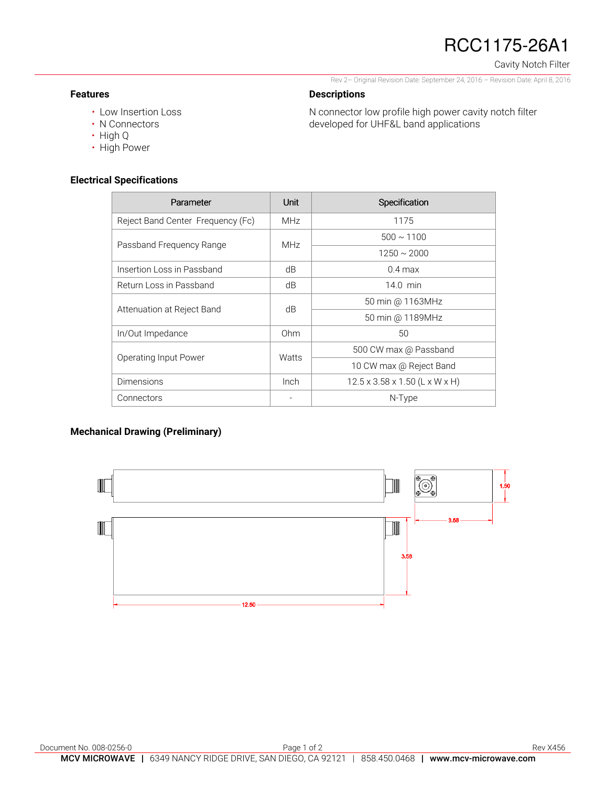# RCC1175-26A1

Cavity Notch Filter

Rev 2– Original Revision Date: September 24, 2016 – Revision Date: April 8, 2016

### **Descriptions**

• Low Insertion Loss

N connector low profile high power cavity notch filter developed for UHF&L band applications

- N Connectors
- High Q

**Features** 

• High Power

## **Electrical Specifications**

| Parameter                         | Unit       | Specification                  |
|-----------------------------------|------------|--------------------------------|
| Reject Band Center Frequency (Fc) | <b>MHz</b> | 1175                           |
| Passband Frequency Range          | <b>MHz</b> | $500 \sim 1100$                |
|                                   |            | $1250 \sim 2000$               |
| Insertion Loss in Passband        | dB         | $0.4$ max                      |
| Return Loss in Passband           | dB         | $14.0$ min                     |
| Attenuation at Reject Band        | dB         | 50 min @ 1163MHz               |
|                                   |            | 50 min @ 1189MHz               |
| In/Out Impedance                  | Ohm        | 50                             |
| Operating Input Power             | Watts      | 500 CW max @ Passband          |
|                                   |            | 10 CW max @ Reject Band        |
| Dimensions                        | Inch       | 12.5 x 3.58 x 1.50 (L x W x H) |
| Connectors                        |            | $N$ -Type                      |

## **Mechanical Drawing (Preliminary)**